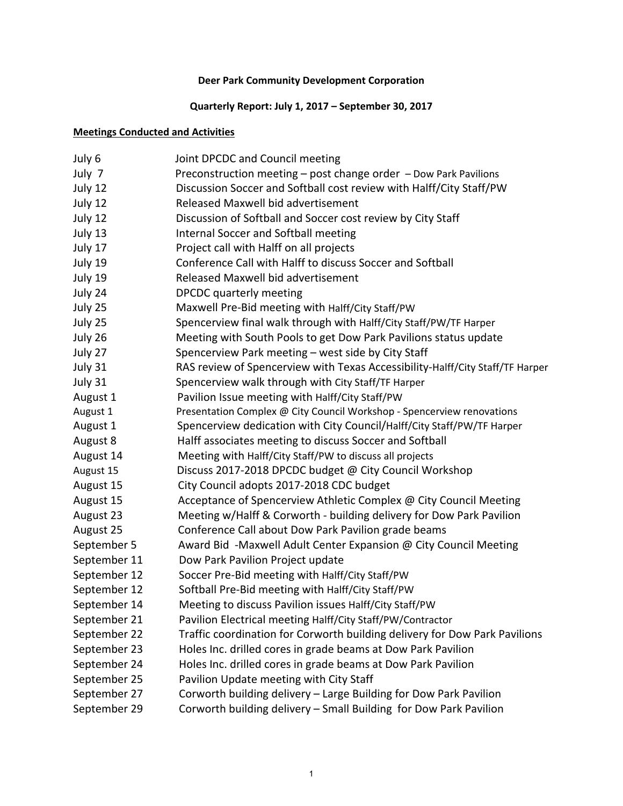# **Quarterly Report: July 1, 2017 – September 30, 2017**

# **Meetings Conducted and Activities**

| July 6       | Joint DPCDC and Council meeting                                               |
|--------------|-------------------------------------------------------------------------------|
| July 7       | Preconstruction meeting - post change order - Dow Park Pavilions              |
| July 12      | Discussion Soccer and Softball cost review with Halff/City Staff/PW           |
| July 12      | Released Maxwell bid advertisement                                            |
| July 12      | Discussion of Softball and Soccer cost review by City Staff                   |
| July 13      | Internal Soccer and Softball meeting                                          |
| July 17      | Project call with Halff on all projects                                       |
| July 19      | Conference Call with Halff to discuss Soccer and Softball                     |
| July 19      | Released Maxwell bid advertisement                                            |
| July 24      | DPCDC quarterly meeting                                                       |
| July 25      | Maxwell Pre-Bid meeting with Halff/City Staff/PW                              |
| July 25      | Spencerview final walk through with Halff/City Staff/PW/TF Harper             |
| July 26      | Meeting with South Pools to get Dow Park Pavilions status update              |
| July 27      | Spencerview Park meeting - west side by City Staff                            |
| July 31      | RAS review of Spencerview with Texas Accessibility-Halff/City Staff/TF Harper |
| July 31      | Spencerview walk through with City Staff/TF Harper                            |
| August 1     | Pavilion Issue meeting with Halff/City Staff/PW                               |
| August 1     | Presentation Complex @ City Council Workshop - Spencerview renovations        |
| August 1     | Spencerview dedication with City Council/Halff/City Staff/PW/TF Harper        |
| August 8     | Halff associates meeting to discuss Soccer and Softball                       |
| August 14    | Meeting with Halff/City Staff/PW to discuss all projects                      |
| August 15    | Discuss 2017-2018 DPCDC budget @ City Council Workshop                        |
| August 15    | City Council adopts 2017-2018 CDC budget                                      |
| August 15    | Acceptance of Spencerview Athletic Complex @ City Council Meeting             |
| August 23    | Meeting w/Halff & Corworth - building delivery for Dow Park Pavilion          |
| August 25    | Conference Call about Dow Park Pavilion grade beams                           |
| September 5  | Award Bid -Maxwell Adult Center Expansion @ City Council Meeting              |
| September 11 | Dow Park Pavilion Project update                                              |
| September 12 | Soccer Pre-Bid meeting with Halff/City Staff/PW                               |
| September 12 | Softball Pre-Bid meeting with Halff/City Staff/PW                             |
| September 14 | Meeting to discuss Pavilion issues Halff/City Staff/PW                        |
| September 21 | Pavilion Electrical meeting Halff/City Staff/PW/Contractor                    |
| September 22 | Traffic coordination for Corworth building delivery for Dow Park Pavilions    |
| September 23 | Holes Inc. drilled cores in grade beams at Dow Park Pavilion                  |
| September 24 | Holes Inc. drilled cores in grade beams at Dow Park Pavilion                  |
| September 25 | Pavilion Update meeting with City Staff                                       |
| September 27 | Corworth building delivery - Large Building for Dow Park Pavilion             |
| September 29 | Corworth building delivery - Small Building for Dow Park Pavilion             |
|              |                                                                               |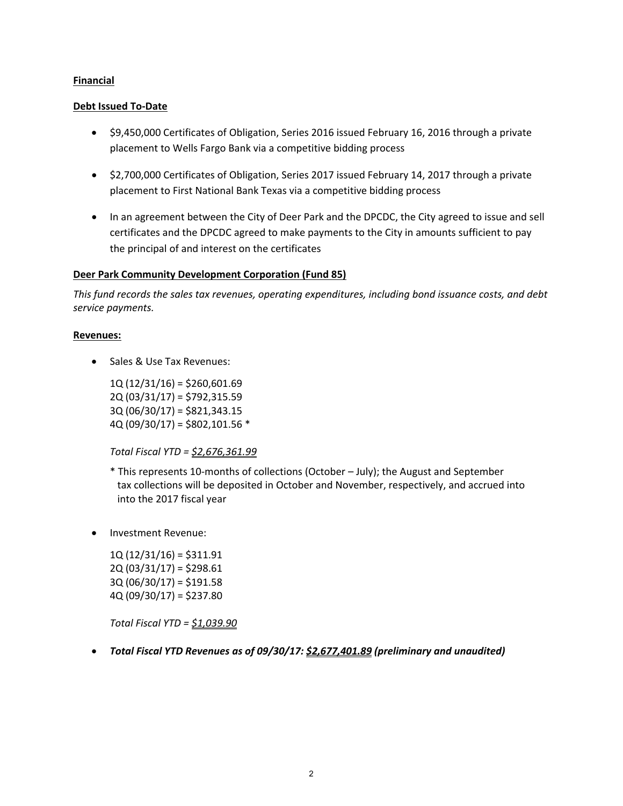#### **Financial**

#### **Debt Issued To‐Date**

- \$9,450,000 Certificates of Obligation, Series 2016 issued February 16, 2016 through a private placement to Wells Fargo Bank via a competitive bidding process
- \$2,700,000 Certificates of Obligation, Series 2017 issued February 14, 2017 through a private placement to First National Bank Texas via a competitive bidding process
- In an agreement between the City of Deer Park and the DPCDC, the City agreed to issue and sell certificates and the DPCDC agreed to make payments to the City in amounts sufficient to pay the principal of and interest on the certificates

# **Deer Park Community Development Corporation (Fund 85)**

*This fund records the sales tax revenues, operating expenditures, including bond issuance costs, and debt service payments.*

#### **Revenues:**

• Sales & Use Tax Revenues:

 $1Q(12/31/16) = $260,601.69$ 2Q (03/31/17) = \$792,315.59 3Q (06/30/17) = \$821,343.15 4Q (09/30/17) = \$802,101.56 \*

*Total Fiscal YTD = \$2,676,361.99*

- \* This represents 10‐months of collections (October July); the August and September tax collections will be deposited in October and November, respectively, and accrued into into the 2017 fiscal year
- Investment Revenue:

 $1Q(12/31/16) = $311.91$  $2Q(03/31/17) = $298.61$ 3Q (06/30/17) = \$191.58  $4Q(09/30/17) = $237.80$ 

*Total Fiscal YTD = \$1,039.90*

# *Total Fiscal YTD Revenues as of 09/30/17: \$2,677,401.89 (preliminary and unaudited)*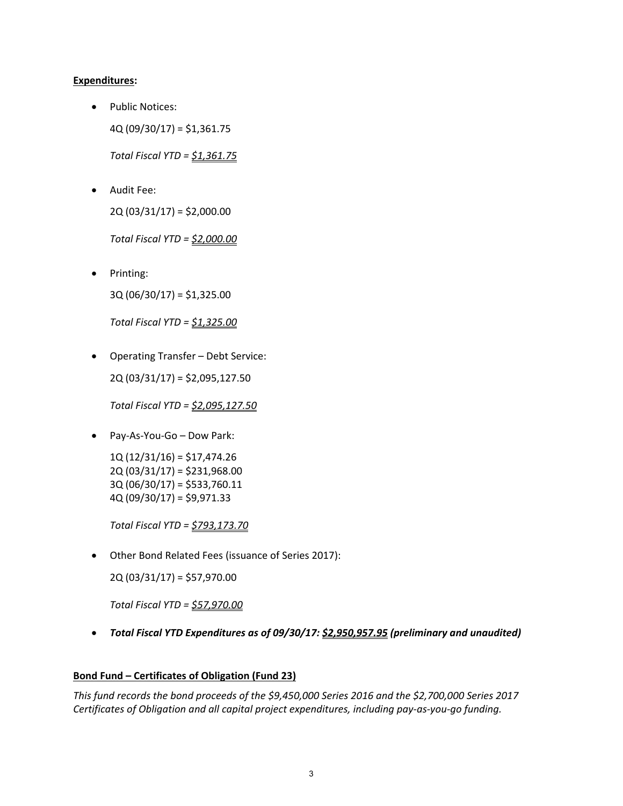# **Expenditures:**

• Public Notices: 4Q (09/30/17) = \$1,361.75

*Total Fiscal YTD = \$1,361.75*

 Audit Fee: 2Q (03/31/17) = \$2,000.00

*Total Fiscal YTD = \$2,000.00*

 Printing: 3Q (06/30/17) = \$1,325.00

*Total Fiscal YTD = \$1,325.00*

 Operating Transfer – Debt Service: 2Q (03/31/17) = \$2,095,127.50

*Total Fiscal YTD = \$2,095,127.50*

Pay‐As‐You‐Go – Dow Park:

1Q (12/31/16) = \$17,474.26 2Q (03/31/17) = \$231,968.00 3Q (06/30/17) = \$533,760.11 4Q (09/30/17) = \$9,971.33

*Total Fiscal YTD = \$793,173.70*

Other Bond Related Fees (issuance of Series 2017):

2Q (03/31/17) = \$57,970.00

*Total Fiscal YTD = \$57,970.00*

*Total Fiscal YTD Expenditures as of 09/30/17: \$2,950,957.95 (preliminary and unaudited)*

# **Bond Fund – Certificates of Obligation (Fund 23)**

*This fund records the bond proceeds of the \$9,450,000 Series 2016 and the \$2,700,000 Series 2017 Certificates of Obligation and all capital project expenditures, including pay‐as‐you‐go funding.*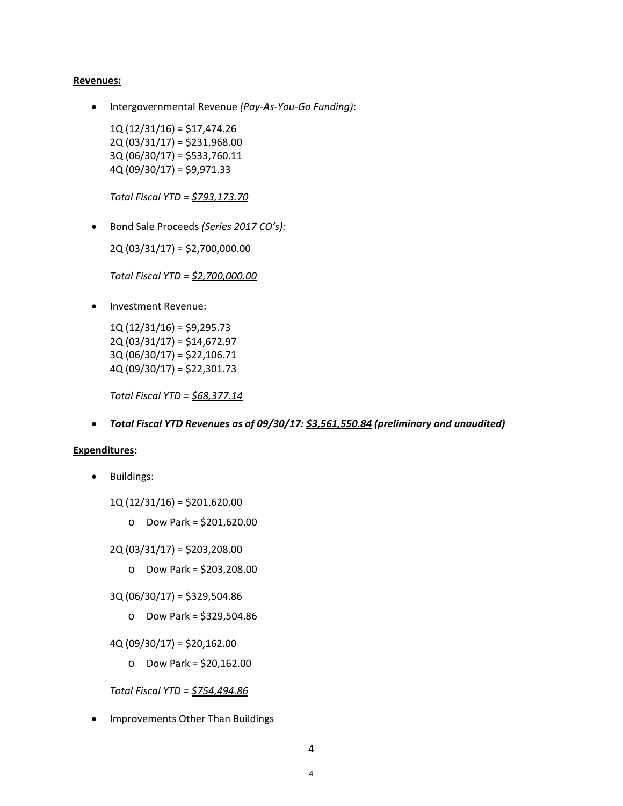#### **Revenues:**

Intergovernmental Revenue *(Pay‐As‐You‐Go Funding)*:

1Q (12/31/16) = \$17,474.26 2Q (03/31/17) = \$231,968.00 3Q (06/30/17) = \$533,760.11 4Q (09/30/17) = \$9,971.33

*Total Fiscal YTD = \$793,173.70*

Bond Sale Proceeds *(Series 2017 CO's):*

2Q (03/31/17) = \$2,700,000.00

*Total Fiscal YTD = \$2,700,000.00*

• Investment Revenue:

1Q (12/31/16) = \$9,295.73 2Q (03/31/17) = \$14,672.97 3Q (06/30/17) = \$22,106.71 4Q (09/30/17) = \$22,301.73

*Total Fiscal YTD = \$68,377.14*

*Total Fiscal YTD Revenues as of 09/30/17: \$3,561,550.84 (preliminary and unaudited)*

#### **Expenditures:**

• Buildings:

1Q (12/31/16) = \$201,620.00

o Dow Park = \$201,620.00

2Q (03/31/17) = \$203,208.00

- o Dow Park = \$203,208.00
- 3Q (06/30/17) = \$329,504.86
	- o Dow Park = \$329,504.86

 $4Q(09/30/17) = $20,162.00$ 

o Dow Park = \$20,162.00

*Total Fiscal YTD = \$754,494.86*

• Improvements Other Than Buildings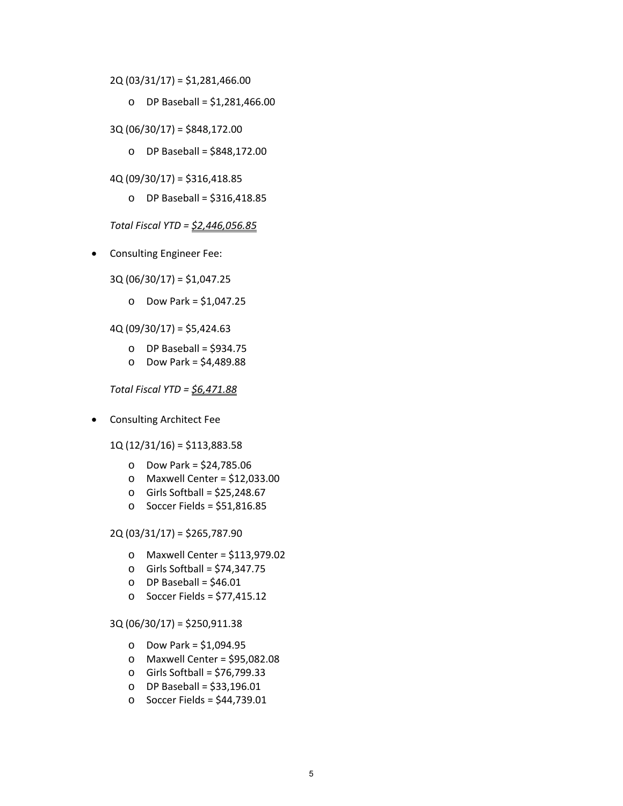- 2Q (03/31/17) = \$1,281,466.00
	- o DP Baseball = \$1,281,466.00
- 3Q (06/30/17) = \$848,172.00
	- o DP Baseball = \$848,172.00
- 4Q (09/30/17) = \$316,418.85
	- o DP Baseball = \$316,418.85

*Total Fiscal YTD = \$2,446,056.85*

- Consulting Engineer Fee:
	- 3Q (06/30/17) = \$1,047.25
		- o Dow Park = \$1,047.25

 $4Q(09/30/17) = $5,424.63$ 

- $O$  DP Baseball = \$934.75
- o Dow Park = \$4,489.88

*Total Fiscal YTD = \$6,471.88*

- Consulting Architect Fee
	- 1Q (12/31/16) = \$113,883.58
		- o Dow Park = \$24,785.06
		- o Maxwell Center = \$12,033.00
		- $\circ$  Girls Softball = \$25,248.67
		- o Soccer Fields = \$51,816.85

#### 2Q (03/31/17) = \$265,787.90

- o Maxwell Center = \$113,979.02
- o Girls Softball = \$74,347.75
- $O$  DP Baseball = \$46.01
- o Soccer Fields = \$77,415.12

#### 3Q (06/30/17) = \$250,911.38

- o Dow Park = \$1,094.95
- o Maxwell Center = \$95,082.08
- o Girls Softball = \$76,799.33
- o DP Baseball = \$33,196.01
- o Soccer Fields = \$44,739.01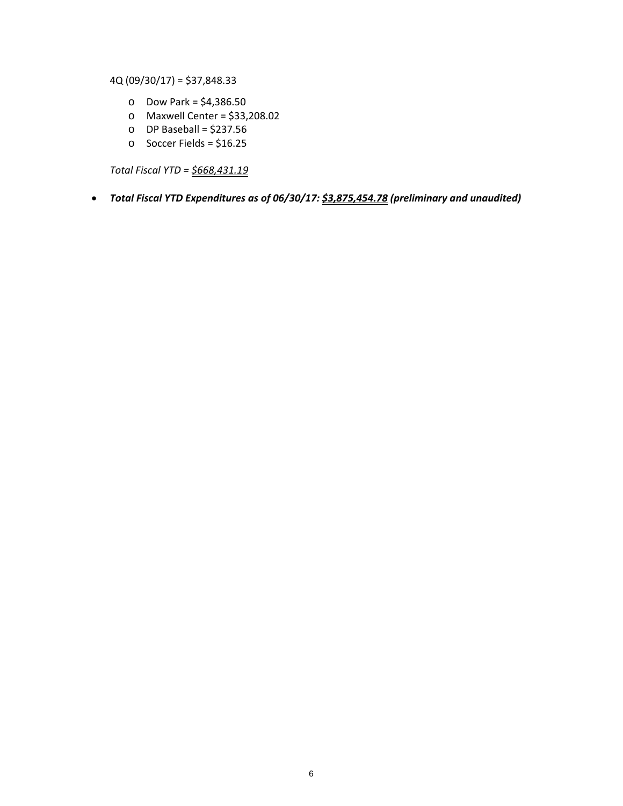4Q (09/30/17) = \$37,848.33

- o Dow Park = \$4,386.50
- o Maxwell Center = \$33,208.02
- $O$  DP Baseball = \$237.56
- o Soccer Fields = \$16.25

*Total Fiscal YTD = \$668,431.19*

*Total Fiscal YTD Expenditures as of 06/30/17: \$3,875,454.78 (preliminary and unaudited)*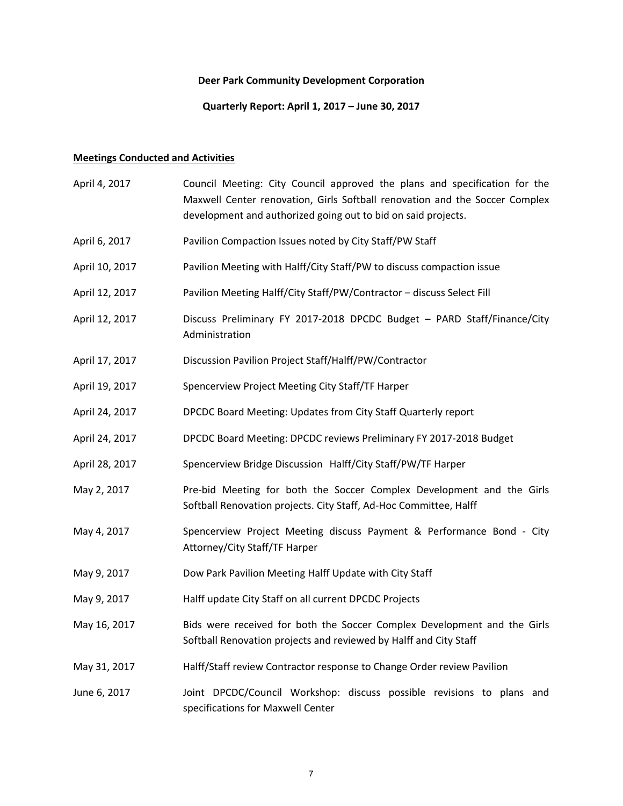# **Quarterly Report: April 1, 2017 – June 30, 2017**

# **Meetings Conducted and Activities**

| April 4, 2017  | Council Meeting: City Council approved the plans and specification for the<br>Maxwell Center renovation, Girls Softball renovation and the Soccer Complex<br>development and authorized going out to bid on said projects. |
|----------------|----------------------------------------------------------------------------------------------------------------------------------------------------------------------------------------------------------------------------|
| April 6, 2017  | Pavilion Compaction Issues noted by City Staff/PW Staff                                                                                                                                                                    |
| April 10, 2017 | Pavilion Meeting with Halff/City Staff/PW to discuss compaction issue                                                                                                                                                      |
| April 12, 2017 | Pavilion Meeting Halff/City Staff/PW/Contractor - discuss Select Fill                                                                                                                                                      |
| April 12, 2017 | Discuss Preliminary FY 2017-2018 DPCDC Budget - PARD Staff/Finance/City<br>Administration                                                                                                                                  |
| April 17, 2017 | Discussion Pavilion Project Staff/Halff/PW/Contractor                                                                                                                                                                      |
| April 19, 2017 | Spencerview Project Meeting City Staff/TF Harper                                                                                                                                                                           |
| April 24, 2017 | DPCDC Board Meeting: Updates from City Staff Quarterly report                                                                                                                                                              |
| April 24, 2017 | DPCDC Board Meeting: DPCDC reviews Preliminary FY 2017-2018 Budget                                                                                                                                                         |
| April 28, 2017 | Spencerview Bridge Discussion Halff/City Staff/PW/TF Harper                                                                                                                                                                |
| May 2, 2017    | Pre-bid Meeting for both the Soccer Complex Development and the Girls<br>Softball Renovation projects. City Staff, Ad-Hoc Committee, Halff                                                                                 |
| May 4, 2017    | Spencerview Project Meeting discuss Payment & Performance Bond - City<br>Attorney/City Staff/TF Harper                                                                                                                     |
| May 9, 2017    | Dow Park Pavilion Meeting Halff Update with City Staff                                                                                                                                                                     |
| May 9, 2017    | Halff update City Staff on all current DPCDC Projects                                                                                                                                                                      |
| May 16, 2017   | Bids were received for both the Soccer Complex Development and the Girls<br>Softball Renovation projects and reviewed by Halff and City Staff                                                                              |
| May 31, 2017   | Halff/Staff review Contractor response to Change Order review Pavilion                                                                                                                                                     |
| June 6, 2017   | Joint DPCDC/Council Workshop: discuss possible revisions to plans and<br>specifications for Maxwell Center                                                                                                                 |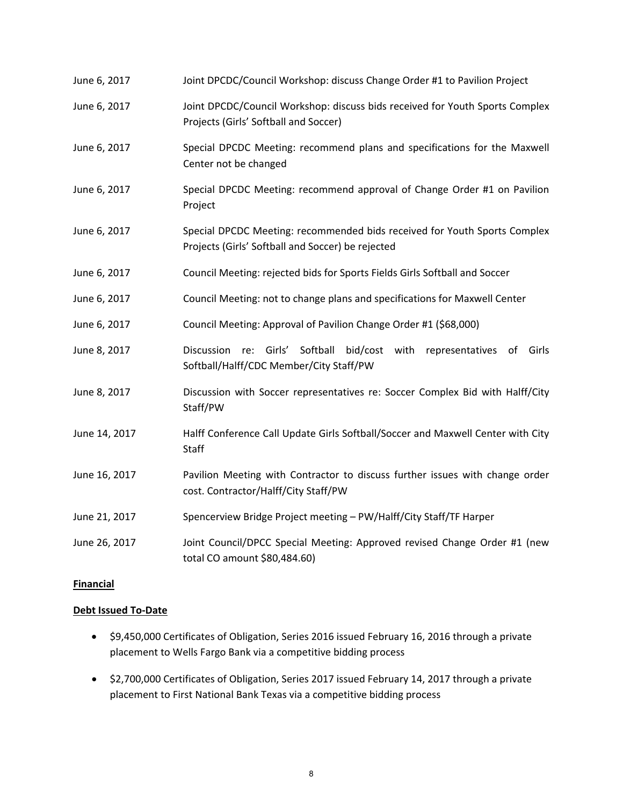| June 6, 2017  | Joint DPCDC/Council Workshop: discuss Change Order #1 to Pavilion Project                                                      |
|---------------|--------------------------------------------------------------------------------------------------------------------------------|
| June 6, 2017  | Joint DPCDC/Council Workshop: discuss bids received for Youth Sports Complex<br>Projects (Girls' Softball and Soccer)          |
| June 6, 2017  | Special DPCDC Meeting: recommend plans and specifications for the Maxwell<br>Center not be changed                             |
| June 6, 2017  | Special DPCDC Meeting: recommend approval of Change Order #1 on Pavilion<br>Project                                            |
| June 6, 2017  | Special DPCDC Meeting: recommended bids received for Youth Sports Complex<br>Projects (Girls' Softball and Soccer) be rejected |
| June 6, 2017  | Council Meeting: rejected bids for Sports Fields Girls Softball and Soccer                                                     |
| June 6, 2017  | Council Meeting: not to change plans and specifications for Maxwell Center                                                     |
| June 6, 2017  | Council Meeting: Approval of Pavilion Change Order #1 (\$68,000)                                                               |
| June 8, 2017  | re: Girls'<br>Softball<br>bid/cost with representatives of<br>Discussion<br>Girls<br>Softball/Halff/CDC Member/City Staff/PW   |
| June 8, 2017  | Discussion with Soccer representatives re: Soccer Complex Bid with Halff/City<br>Staff/PW                                      |
| June 14, 2017 | Halff Conference Call Update Girls Softball/Soccer and Maxwell Center with City<br><b>Staff</b>                                |
| June 16, 2017 | Pavilion Meeting with Contractor to discuss further issues with change order<br>cost. Contractor/Halff/City Staff/PW           |
| June 21, 2017 | Spencerview Bridge Project meeting - PW/Halff/City Staff/TF Harper                                                             |
| June 26, 2017 | Joint Council/DPCC Special Meeting: Approved revised Change Order #1 (new<br>total CO amount \$80,484.60)                      |

# **Financial**

# **Debt Issued To‐Date**

- \$9,450,000 Certificates of Obligation, Series 2016 issued February 16, 2016 through a private placement to Wells Fargo Bank via a competitive bidding process
- $\bullet$  \$2,700,000 Certificates of Obligation, Series 2017 issued February 14, 2017 through a private placement to First National Bank Texas via a competitive bidding process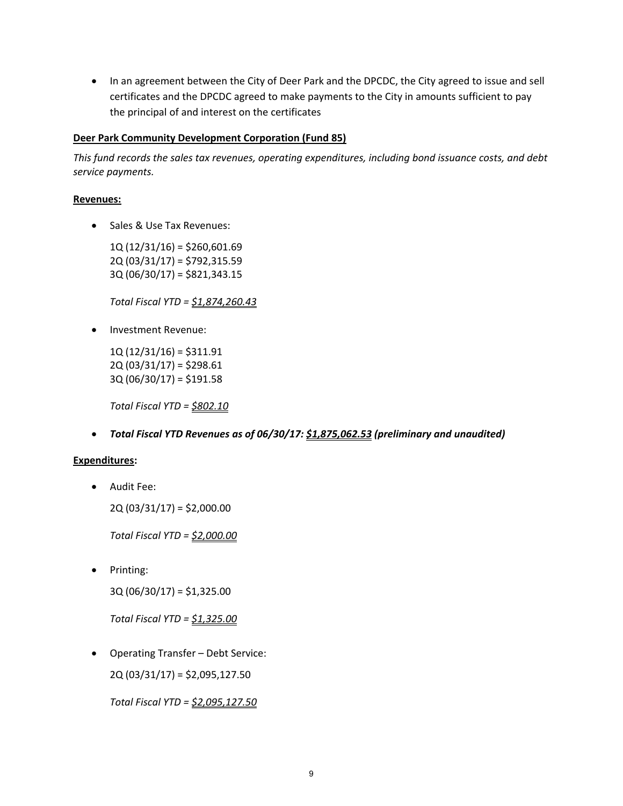• In an agreement between the City of Deer Park and the DPCDC, the City agreed to issue and sell certificates and the DPCDC agreed to make payments to the City in amounts sufficient to pay the principal of and interest on the certificates

### **Deer Park Community Development Corporation (Fund 85)**

*This fund records the sales tax revenues, operating expenditures, including bond issuance costs, and debt service payments.*

#### **Revenues:**

• Sales & Use Tax Revenues:

 $1Q(12/31/16) = $260,601.69$ 2Q (03/31/17) = \$792,315.59 3Q (06/30/17) = \$821,343.15

*Total Fiscal YTD = \$1,874,260.43*

• Investment Revenue:

1Q (12/31/16) = \$311.91  $2Q(03/31/17) = $298.61$  $3Q(06/30/17) = $191.58$ 

*Total Fiscal YTD = \$802.10*

*Total Fiscal YTD Revenues as of 06/30/17: \$1,875,062.53 (preliminary and unaudited)*

# **Expenditures:**

Audit Fee:

2Q (03/31/17) = \$2,000.00

*Total Fiscal YTD = \$2,000.00*

• Printing:

3Q (06/30/17) = \$1,325.00

*Total Fiscal YTD = \$1,325.00*

Operating Transfer – Debt Service:

2Q (03/31/17) = \$2,095,127.50

*Total Fiscal YTD = \$2,095,127.50*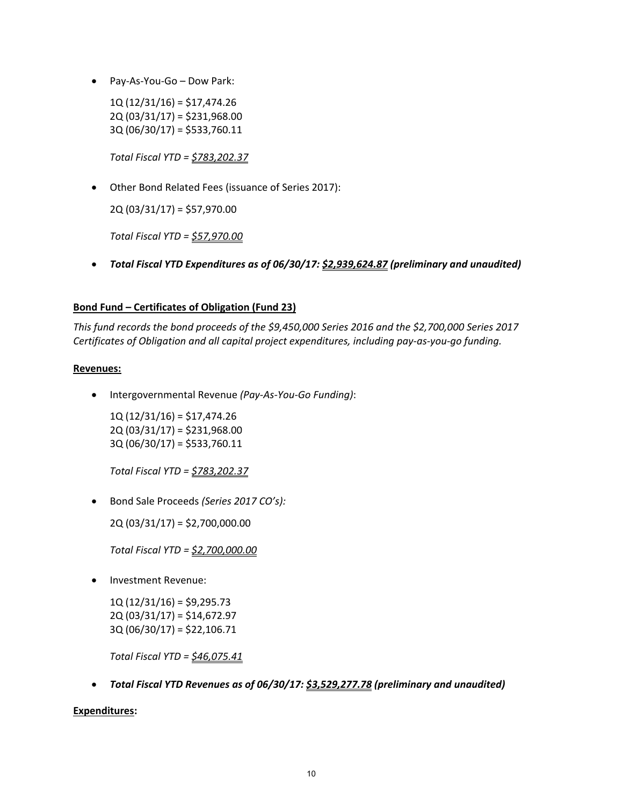Pay‐As‐You‐Go – Dow Park:

 $1Q(12/31/16) = $17,474.26$ 2Q (03/31/17) = \$231,968.00 3Q (06/30/17) = \$533,760.11

*Total Fiscal YTD = \$783,202.37*

Other Bond Related Fees (issuance of Series 2017):

2Q (03/31/17) = \$57,970.00

*Total Fiscal YTD = \$57,970.00*

*Total Fiscal YTD Expenditures as of 06/30/17: \$2,939,624.87 (preliminary and unaudited)*

# **Bond Fund – Certificates of Obligation (Fund 23)**

*This fund records the bond proceeds of the \$9,450,000 Series 2016 and the \$2,700,000 Series 2017 Certificates of Obligation and all capital project expenditures, including pay‐as‐you‐go funding.*

# **Revenues:**

Intergovernmental Revenue *(Pay‐As‐You‐Go Funding)*:

1Q (12/31/16) = \$17,474.26 2Q (03/31/17) = \$231,968.00 3Q (06/30/17) = \$533,760.11

*Total Fiscal YTD = \$783,202.37*

Bond Sale Proceeds *(Series 2017 CO's):*

2Q (03/31/17) = \$2,700,000.00

*Total Fiscal YTD = \$2,700,000.00*

Investment Revenue:

1Q (12/31/16) = \$9,295.73 2Q (03/31/17) = \$14,672.97 3Q (06/30/17) = \$22,106.71

*Total Fiscal YTD = \$46,075.41*

*Total Fiscal YTD Revenues as of 06/30/17: \$3,529,277.78 (preliminary and unaudited)*

# **Expenditures:**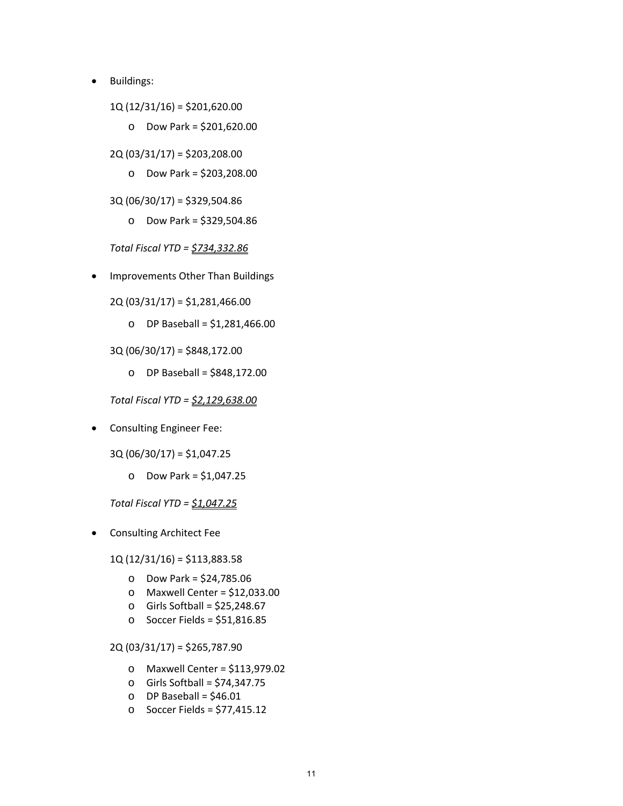- Buildings:
	- 1Q (12/31/16) = \$201,620.00
		- o Dow Park = \$201,620.00
	- 2Q (03/31/17) = \$203,208.00
		- o Dow Park = \$203,208.00
	- 3Q (06/30/17) = \$329,504.86
		- o Dow Park = \$329,504.86

*Total Fiscal YTD = \$734,332.86*

Improvements Other Than Buildings

2Q (03/31/17) = \$1,281,466.00

o DP Baseball = \$1,281,466.00

3Q (06/30/17) = \$848,172.00

o DP Baseball = \$848,172.00

*Total Fiscal YTD = \$2,129,638.00*

**•** Consulting Engineer Fee:

3Q (06/30/17) = \$1,047.25

o Dow Park = \$1,047.25

*Total Fiscal YTD = \$1,047.25*

Consulting Architect Fee

1Q (12/31/16) = \$113,883.58

- o Dow Park = \$24,785.06
- o Maxwell Center = \$12,033.00
- $\circ$  Girls Softball = \$25,248.67
- o Soccer Fields = \$51,816.85

2Q (03/31/17) = \$265,787.90

- o Maxwell Center = \$113,979.02
- o Girls Softball = \$74,347.75
- $O$  DP Baseball = \$46.01
- o Soccer Fields = \$77,415.12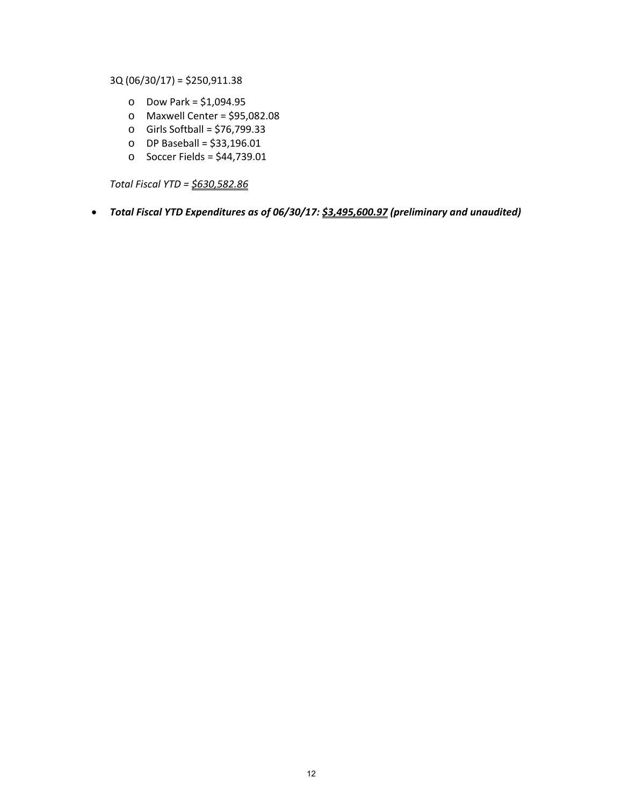3Q (06/30/17) = \$250,911.38

- o Dow Park = \$1,094.95
- o Maxwell Center = \$95,082.08
- o Girls Softball = \$76,799.33
- o DP Baseball = \$33,196.01
- o Soccer Fields = \$44,739.01

*Total Fiscal YTD = \$630,582.86*

# *Total Fiscal YTD Expenditures as of 06/30/17: \$3,495,600.97 (preliminary and unaudited)*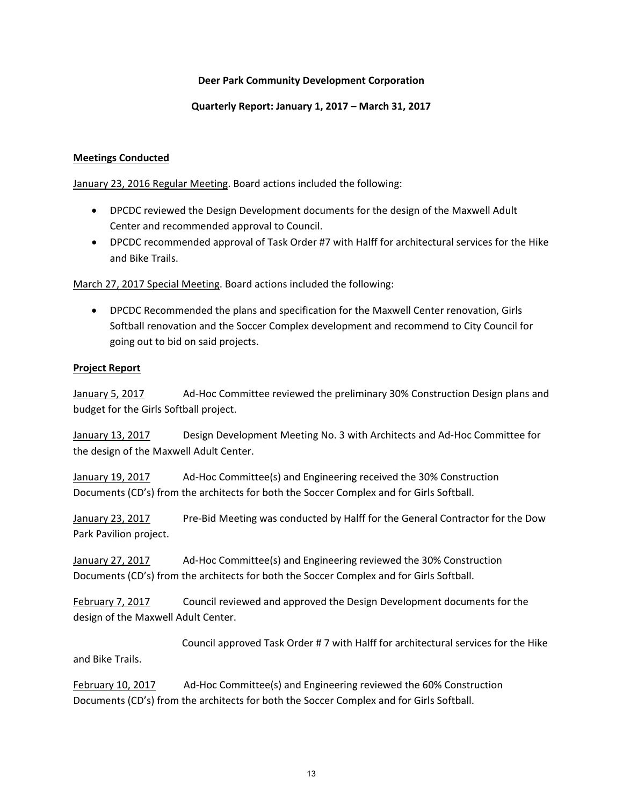#### **Quarterly Report: January 1, 2017 – March 31, 2017**

### **Meetings Conducted**

January 23, 2016 Regular Meeting. Board actions included the following:

- DPCDC reviewed the Design Development documents for the design of the Maxwell Adult Center and recommended approval to Council.
- DPCDC recommended approval of Task Order #7 with Halff for architectural services for the Hike and Bike Trails.

March 27, 2017 Special Meeting. Board actions included the following:

 DPCDC Recommended the plans and specification for the Maxwell Center renovation, Girls Softball renovation and the Soccer Complex development and recommend to City Council for going out to bid on said projects.

#### **Project Report**

January 5, 2017 Ad-Hoc Committee reviewed the preliminary 30% Construction Design plans and budget for the Girls Softball project.

January 13, 2017 Design Development Meeting No. 3 with Architects and Ad-Hoc Committee for the design of the Maxwell Adult Center.

January 19, 2017 Ad‐Hoc Committee(s) and Engineering received the 30% Construction Documents (CD's) from the architects for both the Soccer Complex and for Girls Softball.

January 23, 2017 Pre‐Bid Meeting was conducted by Halff for the General Contractor for the Dow Park Pavilion project.

January 27, 2017 Ad‐Hoc Committee(s) and Engineering reviewed the 30% Construction Documents (CD's) from the architects for both the Soccer Complex and for Girls Softball.

February 7, 2017 Council reviewed and approved the Design Development documents for the design of the Maxwell Adult Center.

 Council approved Task Order # 7 with Halff for architectural services for the Hike and Bike Trails.

February 10, 2017 Ad-Hoc Committee(s) and Engineering reviewed the 60% Construction Documents (CD's) from the architects for both the Soccer Complex and for Girls Softball.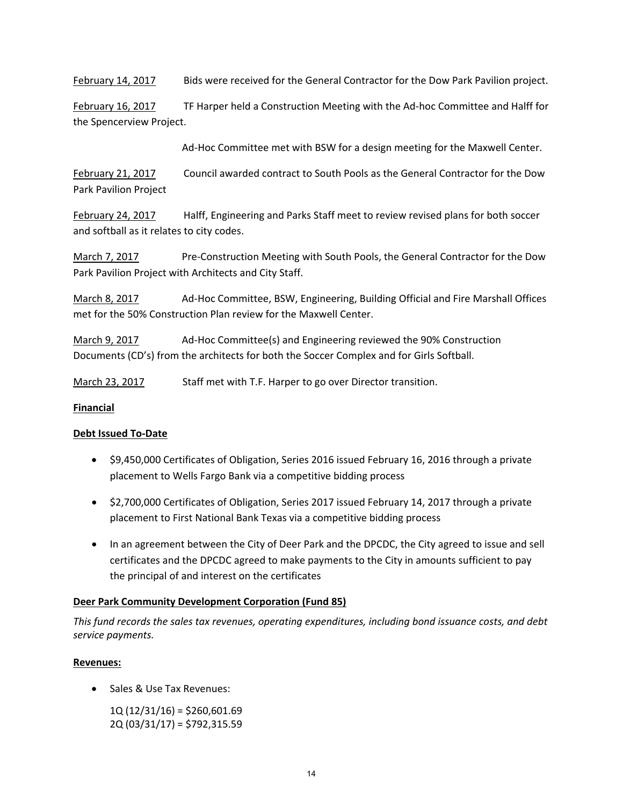February 14, 2017 Bids were received for the General Contractor for the Dow Park Pavilion project.

February 16, 2017 TF Harper held a Construction Meeting with the Ad-hoc Committee and Halff for the Spencerview Project.

Ad‐Hoc Committee met with BSW for a design meeting for the Maxwell Center.

February 21, 2017 Council awarded contract to South Pools as the General Contractor for the Dow Park Pavilion Project

February 24, 2017 Halff, Engineering and Parks Staff meet to review revised plans for both soccer and softball as it relates to city codes.

March 7, 2017 Pre-Construction Meeting with South Pools, the General Contractor for the Dow Park Pavilion Project with Architects and City Staff.

March 8, 2017 Ad‐Hoc Committee, BSW, Engineering, Building Official and Fire Marshall Offices met for the 50% Construction Plan review for the Maxwell Center.

March 9, 2017 Ad-Hoc Committee(s) and Engineering reviewed the 90% Construction Documents (CD's) from the architects for both the Soccer Complex and for Girls Softball.

March 23, 2017 Staff met with T.F. Harper to go over Director transition.

# **Financial**

# **Debt Issued To‐Date**

- \$9,450,000 Certificates of Obligation, Series 2016 issued February 16, 2016 through a private placement to Wells Fargo Bank via a competitive bidding process
- \$2,700,000 Certificates of Obligation, Series 2017 issued February 14, 2017 through a private placement to First National Bank Texas via a competitive bidding process
- In an agreement between the City of Deer Park and the DPCDC, the City agreed to issue and sell certificates and the DPCDC agreed to make payments to the City in amounts sufficient to pay the principal of and interest on the certificates

# **Deer Park Community Development Corporation (Fund 85)**

*This fund records the sales tax revenues, operating expenditures, including bond issuance costs, and debt service payments.*

# **Revenues:**

- Sales & Use Tax Revenues:
	- 1Q (12/31/16) = \$260,601.69 2Q (03/31/17) = \$792,315.59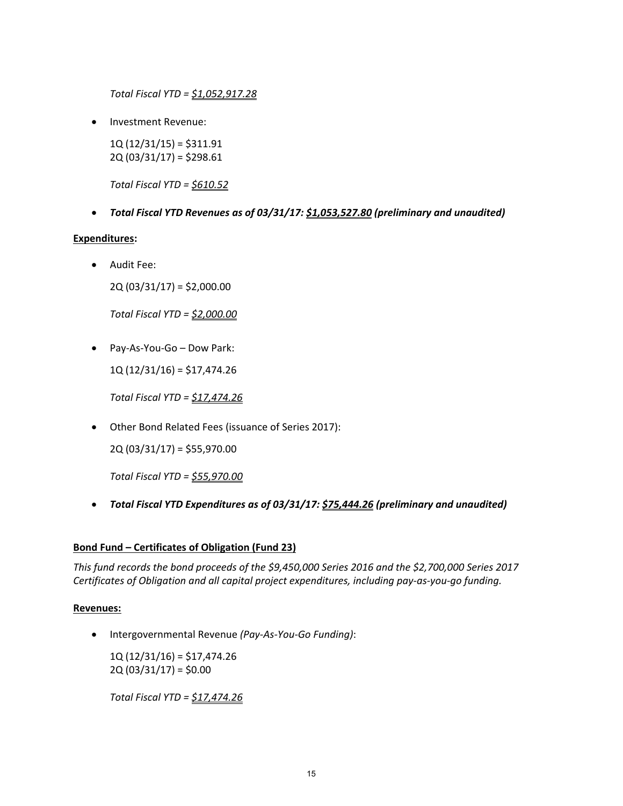*Total Fiscal YTD = \$1,052,917.28*

Investment Revenue:

1Q (12/31/15) = \$311.91  $2Q(03/31/17) = $298.61$ 

*Total Fiscal YTD = \$610.52*

*Total Fiscal YTD Revenues as of 03/31/17: \$1,053,527.80 (preliminary and unaudited)*

#### **Expenditures:**

Audit Fee:

2Q (03/31/17) = \$2,000.00

*Total Fiscal YTD = \$2,000.00*

● Pay-As-You-Go – Dow Park:

1Q (12/31/16) = \$17,474.26

*Total Fiscal YTD = \$17,474.26*

Other Bond Related Fees (issuance of Series 2017):

2Q (03/31/17) = \$55,970.00

*Total Fiscal YTD = \$55,970.00*

*Total Fiscal YTD Expenditures as of 03/31/17: \$75,444.26 (preliminary and unaudited)*

# **Bond Fund – Certificates of Obligation (Fund 23)**

*This fund records the bond proceeds of the \$9,450,000 Series 2016 and the \$2,700,000 Series 2017 Certificates of Obligation and all capital project expenditures, including pay‐as‐you‐go funding.*

# **Revenues:**

Intergovernmental Revenue *(Pay‐As‐You‐Go Funding)*:

1Q (12/31/16) = \$17,474.26  $2Q(03/31/17) = $0.00$ 

*Total Fiscal YTD = \$17,474.26*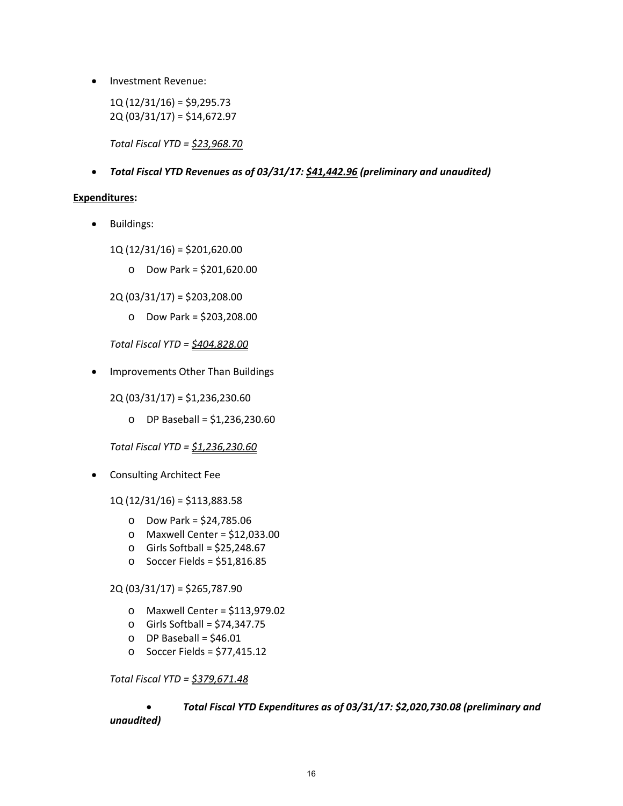• Investment Revenue:

 $1Q(12/31/16) = $9,295.73$ 2Q (03/31/17) = \$14,672.97

*Total Fiscal YTD = \$23,968.70*

*Total Fiscal YTD Revenues as of 03/31/17: \$41,442.96 (preliminary and unaudited)*

#### **Expenditures:**

**•** Buildings:

1Q (12/31/16) = \$201,620.00

o Dow Park = \$201,620.00

2Q (03/31/17) = \$203,208.00

o Dow Park = \$203,208.00

*Total Fiscal YTD = \$404,828.00*

• Improvements Other Than Buildings

2Q (03/31/17) = \$1,236,230.60

o DP Baseball = \$1,236,230.60

*Total Fiscal YTD = \$1,236,230.60*

Consulting Architect Fee

1Q (12/31/16) = \$113,883.58

- o Dow Park = \$24,785.06
- o Maxwell Center = \$12,033.00
- $\circ$  Girls Softball = \$25,248.67
- o Soccer Fields = \$51,816.85

2Q (03/31/17) = \$265,787.90

- o Maxwell Center = \$113,979.02
- o Girls Softball = \$74,347.75
- $O$  DP Baseball = \$46.01
- o Soccer Fields = \$77,415.12

*Total Fiscal YTD = \$379,671.48*

# *Total Fiscal YTD Expenditures as of 03/31/17: \$2,020,730.08 (preliminary and unaudited)*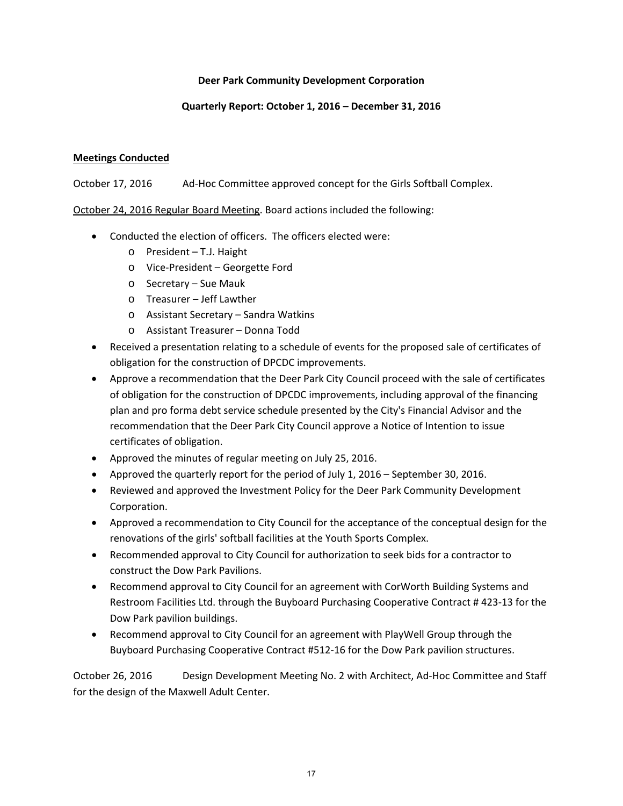# **Quarterly Report: October 1, 2016 – December 31, 2016**

# **Meetings Conducted**

October 17, 2016 Ad‐Hoc Committee approved concept for the Girls Softball Complex.

October 24, 2016 Regular Board Meeting. Board actions included the following:

- Conducted the election of officers. The officers elected were:
	- o President T.J. Haight
	- o Vice‐President Georgette Ford
	- o Secretary Sue Mauk
	- o Treasurer Jeff Lawther
	- o Assistant Secretary Sandra Watkins
	- o Assistant Treasurer Donna Todd
- Received a presentation relating to a schedule of events for the proposed sale of certificates of obligation for the construction of DPCDC improvements.
- Approve a recommendation that the Deer Park City Council proceed with the sale of certificates of obligation for the construction of DPCDC improvements, including approval of the financing plan and pro forma debt service schedule presented by the City's Financial Advisor and the recommendation that the Deer Park City Council approve a Notice of Intention to issue certificates of obligation.
- Approved the minutes of regular meeting on July 25, 2016.
- Approved the quarterly report for the period of July 1, 2016 September 30, 2016.
- Reviewed and approved the Investment Policy for the Deer Park Community Development Corporation.
- Approved a recommendation to City Council for the acceptance of the conceptual design for the renovations of the girls' softball facilities at the Youth Sports Complex.
- Recommended approval to City Council for authorization to seek bids for a contractor to construct the Dow Park Pavilions.
- Recommend approval to City Council for an agreement with CorWorth Building Systems and Restroom Facilities Ltd. through the Buyboard Purchasing Cooperative Contract # 423‐13 for the Dow Park pavilion buildings.
- Recommend approval to City Council for an agreement with PlayWell Group through the Buyboard Purchasing Cooperative Contract #512‐16 for the Dow Park pavilion structures.

October 26, 2016 Design Development Meeting No. 2 with Architect, Ad-Hoc Committee and Staff for the design of the Maxwell Adult Center.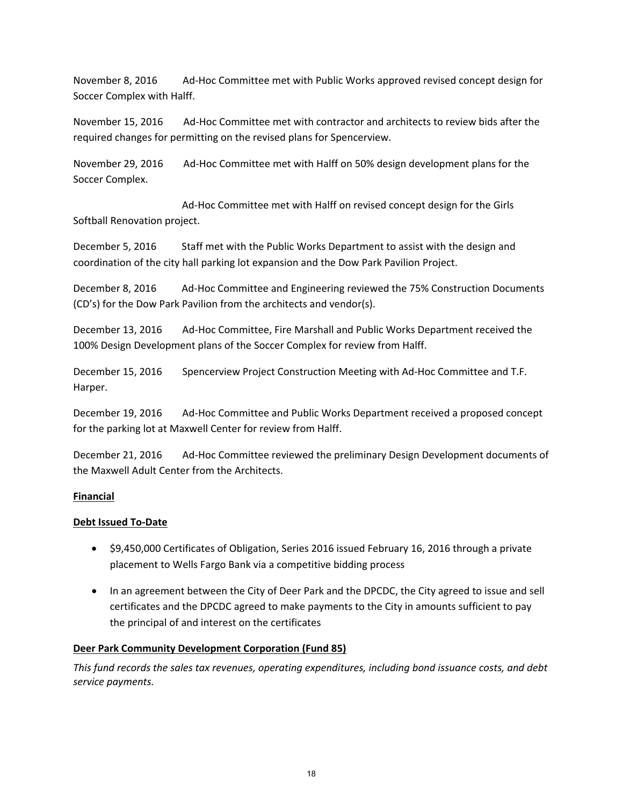November 8, 2016 Ad‐Hoc Committee met with Public Works approved revised concept design for Soccer Complex with Halff.

November 15, 2016 Ad‐Hoc Committee met with contractor and architects to review bids after the required changes for permitting on the revised plans for Spencerview.

November 29, 2016 Ad‐Hoc Committee met with Halff on 50% design development plans for the Soccer Complex.

 Ad‐Hoc Committee met with Halff on revised concept design for the Girls Softball Renovation project.

December 5, 2016 Staff met with the Public Works Department to assist with the design and coordination of the city hall parking lot expansion and the Dow Park Pavilion Project.

December 8, 2016 Ad-Hoc Committee and Engineering reviewed the 75% Construction Documents (CD's) for the Dow Park Pavilion from the architects and vendor(s).

December 13, 2016 Ad-Hoc Committee, Fire Marshall and Public Works Department received the 100% Design Development plans of the Soccer Complex for review from Halff.

December 15, 2016 Spencerview Project Construction Meeting with Ad‐Hoc Committee and T.F. Harper.

December 19, 2016 Ad-Hoc Committee and Public Works Department received a proposed concept for the parking lot at Maxwell Center for review from Halff.

December 21, 2016 Ad‐Hoc Committee reviewed the preliminary Design Development documents of the Maxwell Adult Center from the Architects.

# **Financial**

# **Debt Issued To‐Date**

- \$9,450,000 Certificates of Obligation, Series 2016 issued February 16, 2016 through a private placement to Wells Fargo Bank via a competitive bidding process
- In an agreement between the City of Deer Park and the DPCDC, the City agreed to issue and sell certificates and the DPCDC agreed to make payments to the City in amounts sufficient to pay the principal of and interest on the certificates

# **Deer Park Community Development Corporation (Fund 85)**

*This fund records the sales tax revenues, operating expenditures, including bond issuance costs, and debt service payments.*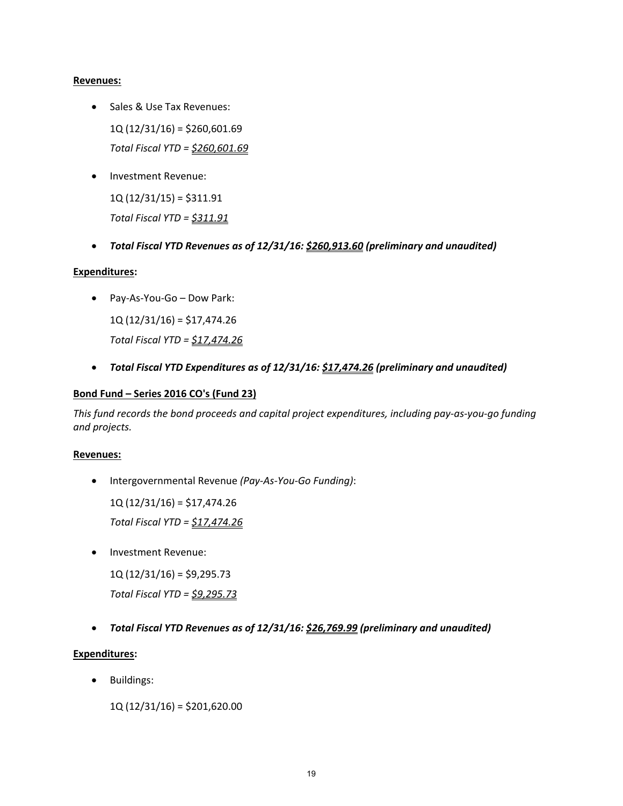#### **Revenues:**

- Sales & Use Tax Revenues: 1Q (12/31/16) = \$260,601.69 *Total Fiscal YTD = \$260,601.69*
- Investment Revenue:

 $1Q(12/31/15) = $311.91$ *Total Fiscal YTD = \$311.91*

*Total Fiscal YTD Revenues as of 12/31/16: \$260,913.60 (preliminary and unaudited)*

# **Expenditures:**

Pay‐As‐You‐Go – Dow Park:

1Q (12/31/16) = \$17,474.26 *Total Fiscal YTD = \$17,474.26*

*Total Fiscal YTD Expenditures as of 12/31/16: \$17,474.26 (preliminary and unaudited)*

#### **Bond Fund – Series 2016 CO's (Fund 23)**

This fund records the bond proceeds and capital project expenditures, including pay-as-you-go funding *and projects.*

#### **Revenues:**

Intergovernmental Revenue *(Pay‐As‐You‐Go Funding)*:

1Q (12/31/16) = \$17,474.26

*Total Fiscal YTD = \$17,474.26*

Investment Revenue:

 $1Q(12/31/16) = $9,295.73$ 

*Total Fiscal YTD = \$9,295.73*

*Total Fiscal YTD Revenues as of 12/31/16: \$26,769.99 (preliminary and unaudited)*

# **Expenditures:**

Buildings:

1Q (12/31/16) = \$201,620.00